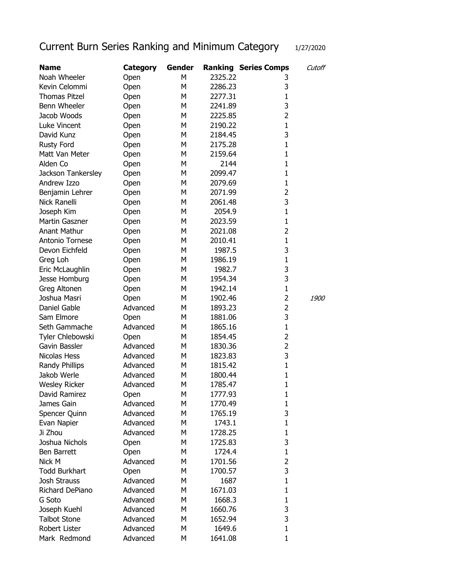## Current Burn Series Ranking and Minimum Category 1/27/2020

| <b>Name</b>          | <b>Category</b> | Gender |         | <b>Ranking Series Comps</b> | Cutoff      |
|----------------------|-----------------|--------|---------|-----------------------------|-------------|
| Noah Wheeler         | Open            | M      | 2325.22 | 3                           |             |
| Kevin Celommi        | Open            | M      | 2286.23 | 3                           |             |
| <b>Thomas Pitzel</b> | Open            | М      | 2277.31 | 1                           |             |
| Benn Wheeler         | Open            | M      | 2241.89 | 3                           |             |
| Jacob Woods          | Open            | М      | 2225.85 | $\overline{2}$              |             |
| Luke Vincent         | Open            | M      | 2190.22 | 1                           |             |
| David Kunz           | Open            | M      | 2184.45 | 3                           |             |
| Rusty Ford           | Open            | М      | 2175.28 | 1                           |             |
| Matt Van Meter       | Open            | М      | 2159.64 | 1                           |             |
| Alden Co             | Open            | М      | 2144    | 1                           |             |
| Jackson Tankersley   | Open            | М      | 2099.47 | 1                           |             |
| Andrew Izzo          | Open            | М      | 2079.69 | 1                           |             |
| Benjamin Lehrer      | Open            | М      | 2071.99 | $\overline{2}$              |             |
| Nick Ranelli         | Open            | M      | 2061.48 | 3                           |             |
| Joseph Kim           | Open            | M      | 2054.9  | $\mathbf{1}$                |             |
| Martin Gaszner       | Open            | M      | 2023.59 | 1                           |             |
| Anant Mathur         |                 | M      | 2021.08 | $\overline{2}$              |             |
| Antonio Tornese      | Open            | M      | 2010.41 | $\mathbf{1}$                |             |
|                      | Open            | M      |         | 3                           |             |
| Devon Eichfeld       | Open            | M      | 1987.5  | 1                           |             |
| Greg Loh             | Open            |        | 1986.19 |                             |             |
| Eric McLaughlin      | Open            | M      | 1982.7  | 3<br>3                      |             |
| Jesse Homburg        | Open            | M      | 1954.34 |                             |             |
| Greg Altonen         | Open            | M      | 1942.14 | $\mathbf{1}$                |             |
| Joshua Masri         | Open            | М      | 1902.46 | 2                           | <i>1900</i> |
| Daniel Gable         | Advanced        | М      | 1893.23 | 2                           |             |
| Sam Elmore           | Open            | М      | 1881.06 | 3                           |             |
| Seth Gammache        | Advanced        | M      | 1865.16 | $\mathbf{1}$                |             |
| Tyler Chlebowski     | Open            | M      | 1854.45 | $\overline{2}$              |             |
| Gavin Bassler        | Advanced        | M      | 1830.36 | $\overline{2}$              |             |
| Nicolas Hess         | Advanced        | M      | 1823.83 | 3                           |             |
| Randy Phillips       | Advanced        | M      | 1815.42 | 1                           |             |
| Jakob Werle          | Advanced        | М      | 1800.44 | 1                           |             |
| <b>Wesley Ricker</b> | Advanced        | M      | 1785.47 | 1                           |             |
| David Ramirez        | Open            | М      | 1777.93 | $\mathbf 1$                 |             |
| James Gain           | Advanced        | М      | 1770.49 | 1                           |             |
| Spencer Quinn        | Advanced        | M      | 1765.19 | 3                           |             |
| Evan Napier          | Advanced        | M      | 1743.1  | $\mathbf{1}$                |             |
| Ji Zhou              | Advanced        | M      | 1728.25 | 1                           |             |
| Joshua Nichols       | Open            | M      | 1725.83 | 3                           |             |
| <b>Ben Barrett</b>   | Open            | M      | 1724.4  | $\mathbf{1}$                |             |
| Nick M               | Advanced        | М      | 1701.56 | $\overline{2}$              |             |
| <b>Todd Burkhart</b> | Open            | М      | 1700.57 | 3                           |             |
| <b>Josh Strauss</b>  | Advanced        | М      | 1687    | $\mathbf{1}$                |             |
| Richard DePiano      | Advanced        | М      | 1671.03 | 1                           |             |
| G Soto               | Advanced        | M      | 1668.3  | 1                           |             |
| Joseph Kuehl         | Advanced        | M      | 1660.76 | 3                           |             |
| <b>Talbot Stone</b>  | Advanced        | M      | 1652.94 | 3                           |             |
| Robert Lister        | Advanced        | M      | 1649.6  | $\mathbf{1}$                |             |
| Mark Redmond         | Advanced        | М      | 1641.08 | 1                           |             |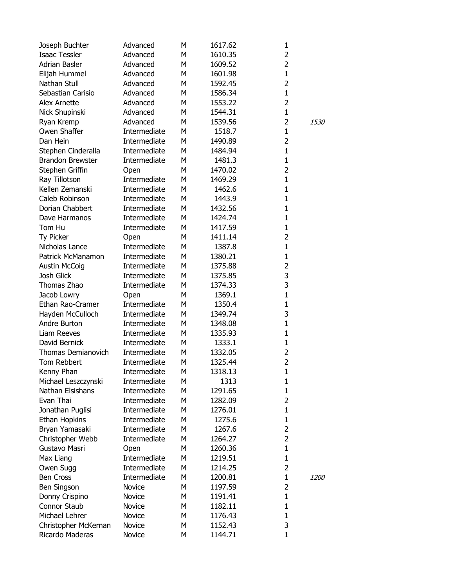| Joseph Buchter          | Advanced     | М | 1617.62 | 1              |             |
|-------------------------|--------------|---|---------|----------------|-------------|
| <b>Isaac Tessler</b>    | Advanced     | M | 1610.35 | $\overline{2}$ |             |
| Adrian Basler           | Advanced     | M | 1609.52 | $\overline{2}$ |             |
| Elijah Hummel           | Advanced     | M | 1601.98 | $\mathbf{1}$   |             |
| Nathan Stull            | Advanced     | M | 1592.45 | $\overline{2}$ |             |
| Sebastian Carisio       | Advanced     | M | 1586.34 | $\mathbf{1}$   |             |
| Alex Arnette            | Advanced     | M | 1553.22 | 2              |             |
| Nick Shupinski          | Advanced     | M | 1544.31 | $\mathbf{1}$   |             |
| Ryan Kremp              | Advanced     | M | 1539.56 | $\overline{2}$ | <i>1530</i> |
| Owen Shaffer            | Intermediate | M | 1518.7  | $\mathbf{1}$   |             |
| Dan Hein                | Intermediate | M | 1490.89 | $\overline{2}$ |             |
| Stephen Cinderalla      | Intermediate | M | 1484.94 | $\mathbf{1}$   |             |
| <b>Brandon Brewster</b> | Intermediate | M | 1481.3  | $\mathbf{1}$   |             |
| Stephen Griffin         | Open         | M | 1470.02 | 2              |             |
| Ray Tillotson           | Intermediate | M | 1469.29 | $\mathbf{1}$   |             |
| Kellen Zemanski         | Intermediate | M | 1462.6  | $\mathbf{1}$   |             |
| Caleb Robinson          | Intermediate | M | 1443.9  | $\mathbf{1}$   |             |
| Dorian Chabbert         | Intermediate | M | 1432.56 | $\mathbf 1$    |             |
| Dave Harmanos           | Intermediate | M | 1424.74 | $\mathbf 1$    |             |
| Tom Hu                  | Intermediate | М | 1417.59 | $\mathbf 1$    |             |
| Ty Picker               | Open         | M | 1411.14 | $\overline{2}$ |             |
| Nicholas Lance          | Intermediate | M | 1387.8  | $\mathbf{1}$   |             |
| Patrick McManamon       | Intermediate | M | 1380.21 | $\mathbf{1}$   |             |
| <b>Austin McCoig</b>    | Intermediate | M | 1375.88 | $\overline{2}$ |             |
| Josh Glick              | Intermediate | М | 1375.85 | 3              |             |
| Thomas Zhao             | Intermediate | М | 1374.33 | 3              |             |
| Jacob Lowry             | Open         | M | 1369.1  | $\mathbf{1}$   |             |
| Ethan Rao-Cramer        | Intermediate | M | 1350.4  | $\mathbf{1}$   |             |
| Hayden McCulloch        | Intermediate | M | 1349.74 | 3              |             |
| Andre Burton            | Intermediate | M | 1348.08 | $\mathbf{1}$   |             |
| Liam Reeves             | Intermediate | М | 1335.93 | $\mathbf{1}$   |             |
| David Bernick           | Intermediate | M | 1333.1  | $\mathbf{1}$   |             |
| Thomas Demianovich      | Intermediate | M | 1332.05 | 2              |             |
| Tom Rebbert             | Intermediate | M | 1325.44 | $\overline{2}$ |             |
| Kenny Phan              | Intermediate | M | 1318.13 | $\mathbf{1}$   |             |
| Michael Leszczynski     | Intermediate | М | 1313    | $\mathbf{1}$   |             |
| Nathan Elsishans        | Intermediate | M | 1291.65 | $\mathbf{1}$   |             |
| Evan Thai               | Intermediate | M | 1282.09 | 2              |             |
| Jonathan Puglisi        | Intermediate | M | 1276.01 | $\mathbf{1}$   |             |
| Ethan Hopkins           | Intermediate | M | 1275.6  | $\mathbf{1}$   |             |
| Bryan Yamasaki          | Intermediate | M | 1267.6  | $\overline{2}$ |             |
| Christopher Webb        | Intermediate | М | 1264.27 | 2              |             |
| Gustavo Masri           | Open         | М | 1260.36 | $\mathbf{1}$   |             |
| Max Liang               | Intermediate | М | 1219.51 | $\mathbf{1}$   |             |
| Owen Sugg               | Intermediate | М | 1214.25 | 2              |             |
| <b>Ben Cross</b>        | Intermediate | M | 1200.81 | $\mathbf{1}$   | <i>1200</i> |
| Ben Singson             | Novice       | М | 1197.59 | 2              |             |
| Donny Crispino          | Novice       | M | 1191.41 | $\mathbf{1}$   |             |
| Connor Staub            | Novice       | M | 1182.11 | $\mathbf{1}$   |             |
| Michael Lehrer          | Novice       | M | 1176.43 | $\mathbf{1}$   |             |
| Christopher McKernan    | Novice       | M | 1152.43 | 3              |             |
| Ricardo Maderas         | Novice       | M | 1144.71 | $\mathbf 1$    |             |